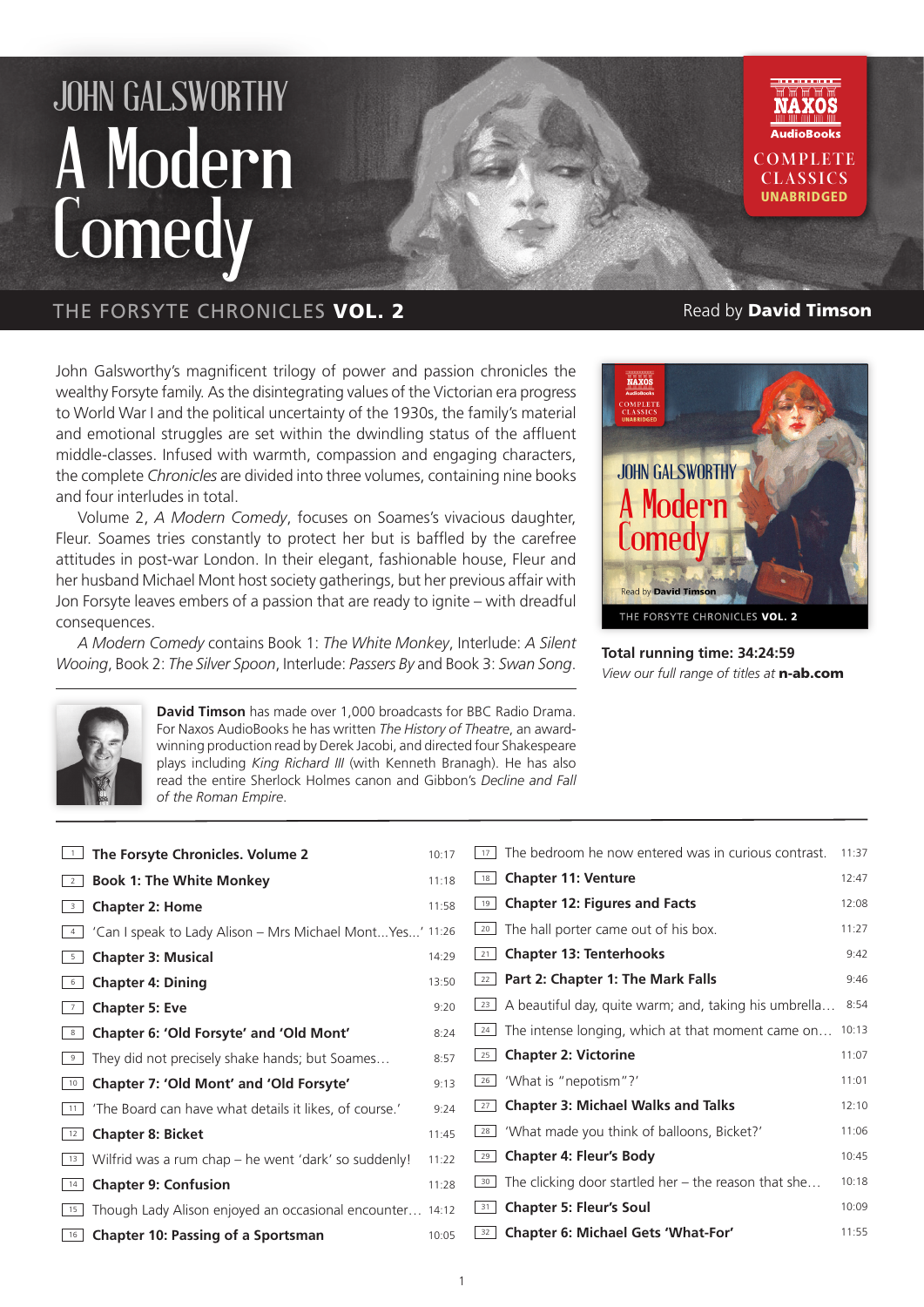## JOHN GALSWORTHY A Modern **Comedy**



John Galsworthy's magnificent trilogy of power and passion chronicles the wealthy Forsyte family. As the disintegrating values of the Victorian era progress to World War I and the political uncertainty of the 1930s, the family's material and emotional struggles are set within the dwindling status of the affluent middle-classes. Infused with warmth, compassion and engaging characters, the complete *Chronicles* are divided into three volumes, containing nine books and four interludes in total.

Volume 2, *A Modern Comedy*, focuses on Soames's vivacious daughter, Fleur. Soames tries constantly to protect her but is baffled by the carefree attitudes in post-war London. In their elegant, fashionable house, Fleur and her husband Michael Mont host society gatherings, but her previous affair with Jon Forsyte leaves embers of a passion that are ready to ignite – with dreadful consequences.

*A Modern Comedy* contains Book 1: *The White Monkey*, Interlude: *A Silent Wooing*, Book 2: *The Silver Spoon*, Interlude: *Passers By* and Book 3: *Swan Song*. **Total running time: 34:24:59**

**COMPLETE CLASSICS** UNABRIDGED



*View our full range of titles at* n-ab.com



**David Timson** has made over 1,000 broadcasts for BBC Radio Drama. For Naxos AudioBooks he has written *The History of Theatre*, an awardwinning production read by Derek Jacobi, and directed four Shakespeare plays including *King Richard III* (with Kenneth Branagh). He has also read the entire Sherlock Holmes canon and Gibbon's *Decline and Fall of the Roman Empire*.

| $\overline{1}$          | The Forsyte Chronicles. Volume 2                          | 10:17 | The bedroom he now entered was in curious contrast.<br>17 <sup>1</sup> | 11:37 |
|-------------------------|-----------------------------------------------------------|-------|------------------------------------------------------------------------|-------|
| $\overline{2}$          | <b>Book 1: The White Monkey</b>                           | 11:18 | <b>Chapter 11: Venture</b><br>18                                       | 12:47 |
| $\overline{\mathbf{3}}$ | <b>Chapter 2: Home</b>                                    | 11:58 | <b>Chapter 12: Figures and Facts</b><br>19                             | 12:08 |
| 4                       | 'Can I speak to Lady Alison - Mrs Michael Mont Yes' 11:26 |       | $\boxed{20}$ The hall porter came out of his box.                      | 11:27 |
| 5                       | <b>Chapter 3: Musical</b>                                 | 14:29 | <b>Chapter 13: Tenterhooks</b><br>21                                   | 9:42  |
| 6                       | <b>Chapter 4: Dining</b>                                  | 13:50 | $\sqrt{22}$ Part 2: Chapter 1: The Mark Falls                          | 9:46  |
| 7                       | <b>Chapter 5: Eve</b>                                     | 9:20  | $\boxed{23}$ A beautiful day, quite warm; and, taking his umbrella     | 8:54  |
| 8                       | Chapter 6: 'Old Forsyte' and 'Old Mont'                   | 8:24  | The intense longing, which at that moment came on<br>24                | 10:13 |
| 9                       | They did not precisely shake hands; but Soames            | 8:57  | <b>Chapter 2: Victorine</b><br>25                                      | 11:07 |
| 10                      | Chapter 7: 'Old Mont' and 'Old Forsyte'                   | 9:13  | 'What is "nepotism"?'<br>26                                            | 11:01 |
| 11                      | 'The Board can have what details it likes, of course.'    | 9:24  | <b>Chapter 3: Michael Walks and Talks</b><br>27                        | 12:10 |
| 12                      | <b>Chapter 8: Bicket</b>                                  | 11:45 | $\frac{28}{1}$ 'What made you think of balloons, Bicket?'              | 11:06 |
| 13                      | Wilfrid was a rum chap – he went 'dark' so suddenly!      | 11:22 | 29 Chapter 4: Fleur's Body                                             | 10:45 |
| 14                      | <b>Chapter 9: Confusion</b>                               | 11:28 | $\frac{30}{2}$ The clicking door startled her – the reason that she    | 10:18 |
| 15                      | Though Lady Alison enjoyed an occasional encounter 14:12  |       | <b>Chapter 5: Fleur's Soul</b><br> 31                                  | 10:09 |
| 16                      | <b>Chapter 10: Passing of a Sportsman</b>                 | 10:05 | Chapter 6: Michael Gets 'What-For'<br>32                               | 11:55 |
|                         |                                                           |       |                                                                        |       |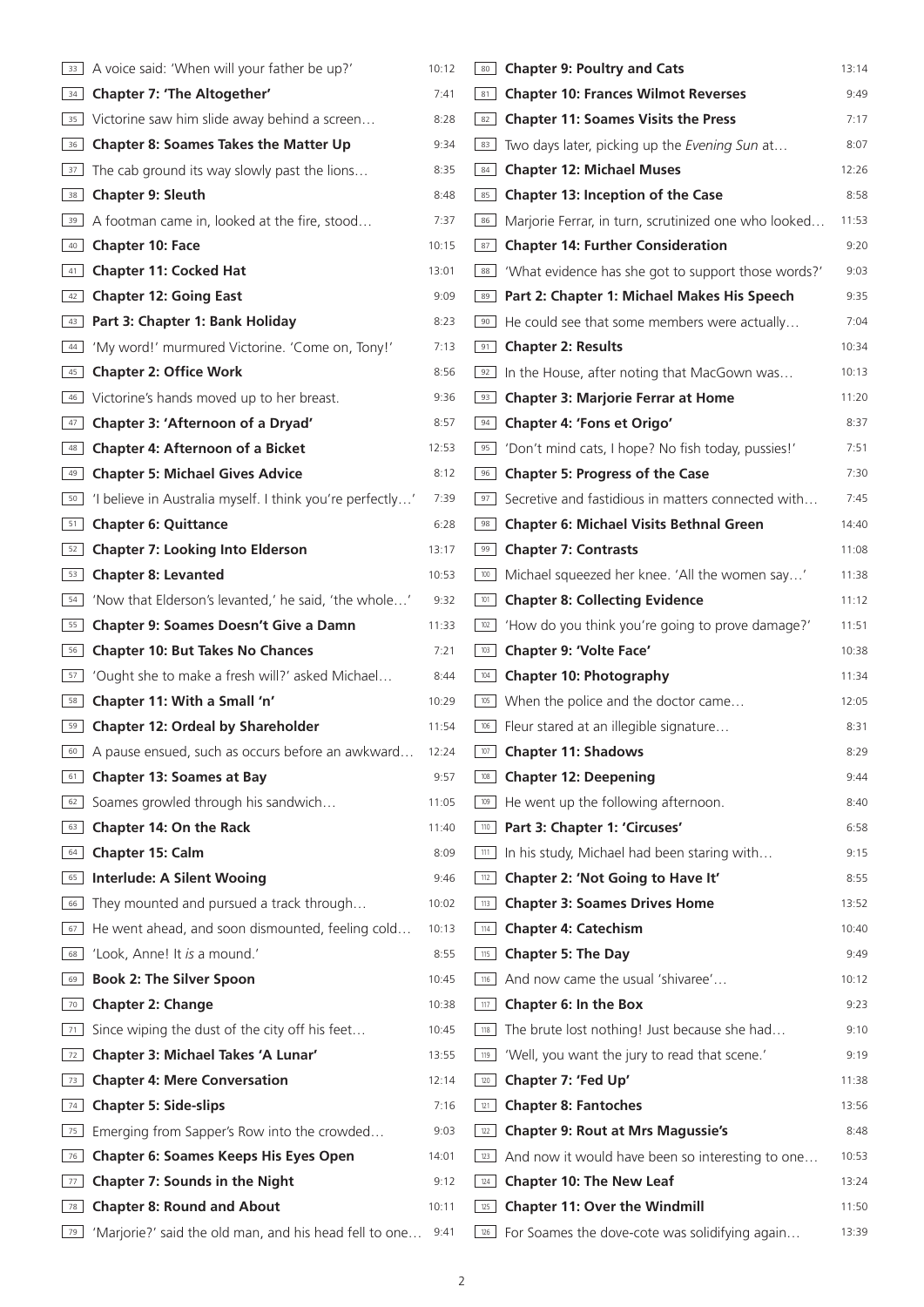|                    | A voice said: 'When will your father be up?'              | 10:12 | <b>Chapter 9: Poultry and Cats</b><br>80                           | 13:14 |
|--------------------|-----------------------------------------------------------|-------|--------------------------------------------------------------------|-------|
| 34                 | <b>Chapter 7: 'The Altogether'</b>                        | 7:41  | <b>Chapter 10: Frances Wilmot Reverses</b><br>81                   | 9:49  |
|                    | 35 Victorine saw him slide away behind a screen           | 8:28  | <b>Chapter 11: Soames Visits the Press</b><br>82                   | 7:17  |
| 36                 | <b>Chapter 8: Soames Takes the Matter Up</b>              | 9:34  | Two days later, picking up the Evening Sun at<br>83                | 8:07  |
| 37                 | The cab ground its way slowly past the lions              | 8:35  | <b>Chapter 12: Michael Muses</b><br>84                             | 12:26 |
| 38                 | <b>Chapter 9: Sleuth</b>                                  | 8:48  | Chapter 13: Inception of the Case<br>85                            | 8:58  |
| 39                 | A footman came in, looked at the fire, stood              | 7:37  | Marjorie Ferrar, in turn, scrutinized one who looked<br>86         | 11:53 |
| $\vert$ 40 $\vert$ | <b>Chapter 10: Face</b>                                   | 10:15 | <b>Chapter 14: Further Consideration</b><br>87                     | 9:20  |
| 41                 | <b>Chapter 11: Cocked Hat</b>                             | 13:01 | 'What evidence has she got to support those words?'<br>88          | 9:03  |
| 42                 | <b>Chapter 12: Going East</b>                             | 9:09  | 89 Part 2: Chapter 1: Michael Makes His Speech                     | 9:35  |
| 43                 | Part 3: Chapter 1: Bank Holiday                           | 8:23  | He could see that some members were actually<br>90                 | 7:04  |
| 44                 | 'My word!' murmured Victorine. 'Come on, Tony!'           | 7:13  | <b>Chapter 2: Results</b><br>91                                    | 10:34 |
| 45                 | <b>Chapter 2: Office Work</b>                             | 8:56  | In the House, after noting that MacGown was<br>92                  | 10:13 |
| 46                 | Victorine's hands moved up to her breast.                 | 9:36  | <b>Chapter 3: Marjorie Ferrar at Home</b><br>93                    | 11:20 |
| 47                 | Chapter 3: 'Afternoon of a Dryad'                         | 8:57  | Chapter 4: 'Fons et Origo'<br>94                                   | 8:37  |
| 48                 | <b>Chapter 4: Afternoon of a Bicket</b>                   | 12:53 | 'Don't mind cats, I hope? No fish today, pussies!'<br>95           | 7:51  |
| 49                 | <b>Chapter 5: Michael Gives Advice</b>                    | 8:12  | <b>Chapter 5: Progress of the Case</b><br>96                       | 7:30  |
| 50                 | 'I believe in Australia myself. I think you're perfectly' | 7:39  | Secretive and fastidious in matters connected with<br>97           | 7:45  |
| 51                 | <b>Chapter 6: Quittance</b>                               | 6:28  | <b>Chapter 6: Michael Visits Bethnal Green</b><br>98               | 14:40 |
| 52                 | <b>Chapter 7: Looking Into Elderson</b>                   | 13:17 | <b>Chapter 7: Contrasts</b><br>99                                  | 11:08 |
| 53                 | <b>Chapter 8: Levanted</b>                                | 10:53 | Michael squeezed her knee. 'All the women say'<br>100              | 11:38 |
| 54                 | 'Now that Elderson's levanted,' he said, 'the whole'      | 9:32  | <b>Chapter 8: Collecting Evidence</b><br>101                       | 11:12 |
| 55                 | Chapter 9: Soames Doesn't Give a Damn                     | 11:33 | 'How do you think you're going to prove damage?'<br>102            | 11:51 |
| 56                 | <b>Chapter 10: But Takes No Chances</b>                   | 7:21  | Chapter 9: 'Volte Face'<br>103                                     | 10:38 |
| 57                 | 'Ought she to make a fresh will?' asked Michael           | 8:44  | <b>Chapter 10: Photography</b><br>104                              | 11:34 |
| 58                 | Chapter 11: With a Small 'n'                              | 10:29 | When the police and the doctor came<br>105                         | 12:05 |
| 59                 | <b>Chapter 12: Ordeal by Shareholder</b>                  | 11:54 | Fleur stared at an illegible signature<br>106                      | 8:31  |
| 60                 | A pause ensued, such as occurs before an awkward          | 12:24 | 107<br><b>Chapter 11: Shadows</b>                                  | 8:29  |
| 61                 | <b>Chapter 13: Soames at Bay</b>                          | 9:57  | <b>Chapter 12: Deepening</b><br>108                                | 9:44  |
| 62                 | Soames growled through his sandwich                       | 11:05 | He went up the following afternoon.<br>109                         | 8:40  |
| 63                 | Chapter 14: On the Rack                                   | 11:40 | 110 Part 3: Chapter 1: 'Circuses'                                  | 6:58  |
| 64                 | Chapter 15: Calm                                          | 8:09  | In his study, Michael had been staring with<br>$\vert$ 111 $\vert$ | 9:15  |
| 65                 | <b>Interlude: A Silent Wooing</b>                         | 9:46  | Chapter 2: 'Not Going to Have It'<br>112                           | 8:55  |
| 66                 | They mounted and pursued a track through                  | 10:02 | <b>Chapter 3: Soames Drives Home</b><br>113                        | 13:52 |
| 67                 | He went ahead, and soon dismounted, feeling cold          | 10:13 | <b>Chapter 4: Catechism</b><br>114                                 | 10:40 |
| 68                 | 'Look, Anne! It is a mound.'                              | 8:55  | <b>Chapter 5: The Day</b><br>115                                   | 9:49  |
| 69                 | <b>Book 2: The Silver Spoon</b>                           | 10:45 | And now came the usual 'shivaree'<br>116                           | 10:12 |
| 70                 | <b>Chapter 2: Change</b>                                  | 10:38 | Chapter 6: In the Box<br>117                                       | 9:23  |
| 71                 | Since wiping the dust of the city off his feet            | 10:45 | The brute lost nothing! Just because she had<br>118                | 9:10  |
| 72                 | Chapter 3: Michael Takes 'A Lunar'                        | 13:55 | 'Well, you want the jury to read that scene.'<br>119               | 9:19  |
| 73                 | <b>Chapter 4: Mere Conversation</b>                       | 12:14 | Chapter 7: 'Fed Up'<br>120                                         | 11:38 |
| 74                 | <b>Chapter 5: Side-slips</b>                              | 7:16  | <b>Chapter 8: Fantoches</b><br>121                                 | 13:56 |
| 75                 | Emerging from Sapper's Row into the crowded               | 9:03  | <b>Chapter 9: Rout at Mrs Magussie's</b><br>122                    | 8:48  |
| 76                 | <b>Chapter 6: Soames Keeps His Eyes Open</b>              | 14:01 | And now it would have been so interesting to one<br>123            | 10:53 |
| 77                 | <b>Chapter 7: Sounds in the Night</b>                     | 9:12  | <b>Chapter 10: The New Leaf</b><br>124                             | 13:24 |
| 78                 | <b>Chapter 8: Round and About</b>                         | 10:11 | <b>Chapter 11: Over the Windmill</b><br>125                        | 11:50 |
|                    | 'Marjorie?' said the old man, and his head fell to one    | 9:41  | For Soames the dove-cote was solidifying again<br>126              | 13:39 |